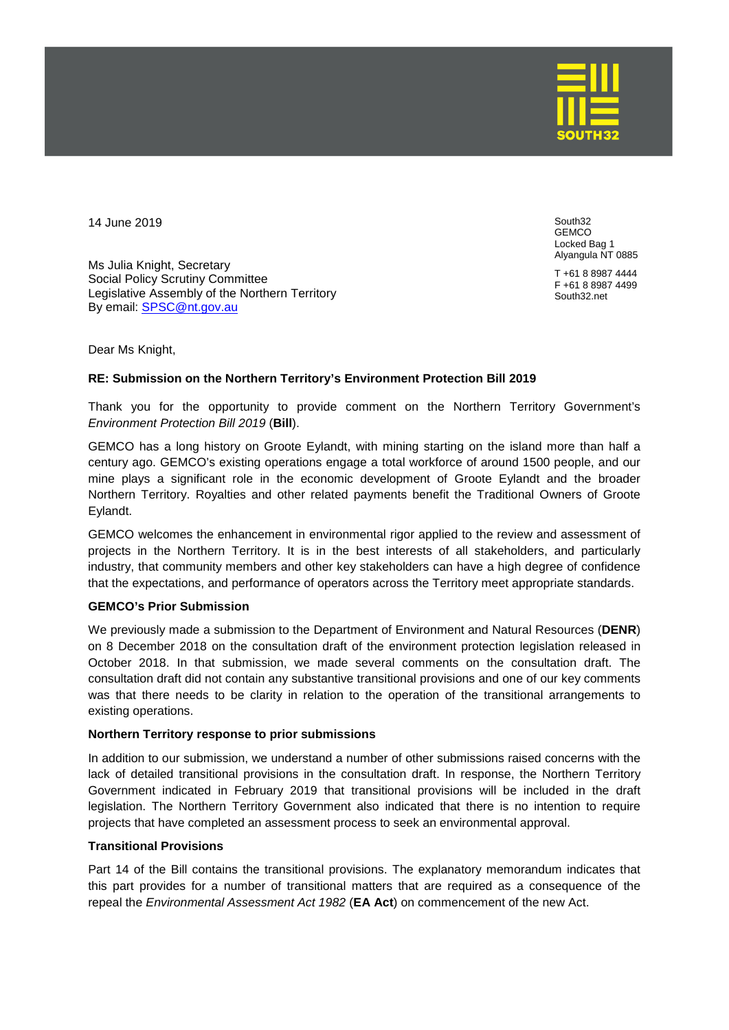

14 June 2019

Ms Julia Knight, Secretary Social Policy Scrutiny Committee Legislative Assembly of the Northern Territory By email: [SPSC@nt.gov.au](mailto:SPSC@nt.gov.au)

South32 GEMCO Locked Bag 1 Alyangula NT 0885

T +61 8 8987 4444 F +61 8 8987 4499 South32.net

Dear Ms Knight,

## **RE: Submission on the Northern Territory's Environment Protection Bill 2019**

Thank you for the opportunity to provide comment on the Northern Territory Government's *Environment Protection Bill 2019* (**Bill**).

GEMCO has a long history on Groote Eylandt, with mining starting on the island more than half a century ago. GEMCO's existing operations engage a total workforce of around 1500 people, and our mine plays a significant role in the economic development of Groote Eylandt and the broader Northern Territory. Royalties and other related payments benefit the Traditional Owners of Groote Eylandt.

GEMCO welcomes the enhancement in environmental rigor applied to the review and assessment of projects in the Northern Territory. It is in the best interests of all stakeholders, and particularly industry, that community members and other key stakeholders can have a high degree of confidence that the expectations, and performance of operators across the Territory meet appropriate standards.

## **GEMCO's Prior Submission**

We previously made a submission to the Department of Environment and Natural Resources (**DENR**) on 8 December 2018 on the consultation draft of the environment protection legislation released in October 2018. In that submission, we made several comments on the consultation draft. The consultation draft did not contain any substantive transitional provisions and one of our key comments was that there needs to be clarity in relation to the operation of the transitional arrangements to existing operations.

## **Northern Territory response to prior submissions**

In addition to our submission, we understand a number of other submissions raised concerns with the lack of detailed transitional provisions in the consultation draft. In response, the Northern Territory Government indicated in February 2019 that transitional provisions will be included in the draft legislation. The Northern Territory Government also indicated that there is no intention to require projects that have completed an assessment process to seek an environmental approval.

## **Transitional Provisions**

Part 14 of the Bill contains the transitional provisions. The explanatory memorandum indicates that this part provides for a number of transitional matters that are required as a consequence of the repeal the *Environmental Assessment Act 1982* (**EA Act**) on commencement of the new Act.